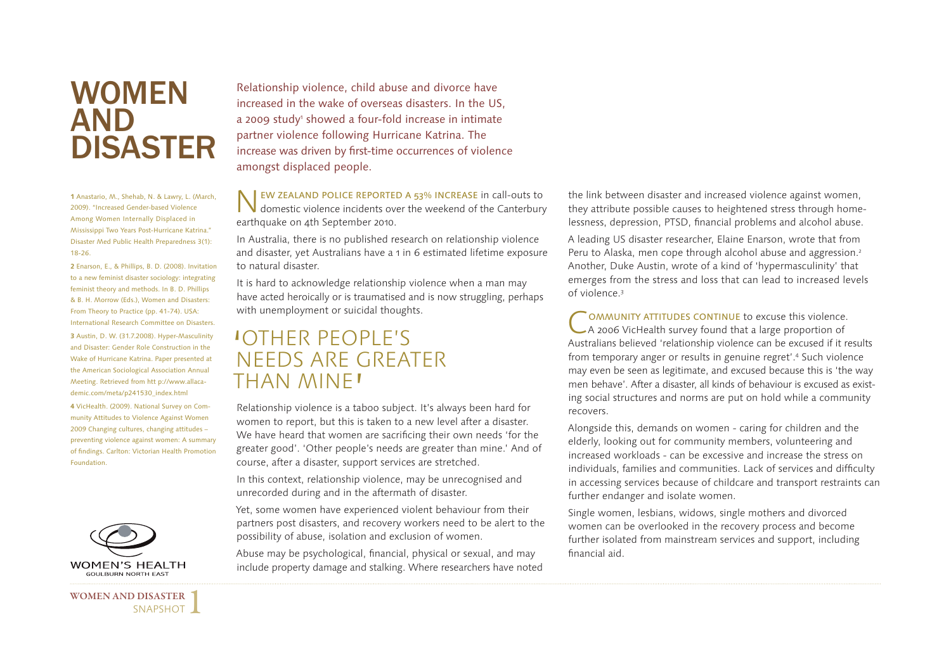## **WOMEN** AND DISASTER

**1** Anastario, M., Shehab, N. & Lawry, L. (March, 2009). "Increased Gender-based Violence Among Women Internally Displaced in Mississippi Two Years Post-Hurricane Katrina." Disaster Med Public Health Preparedness 3(1): 18-26.

**2** Enarson, E., & Phillips, B. D. (2008). Invitation to a new feminist disaster sociology: integrating feminist theory and methods. In B. D. Phillips & B. H. Morrow (Eds.), Women and Disasters: From Theory to Practice (pp. 41-74). USA: International Research Committee on Disasters. **3** Austin, D. W. (31.7.2008). Hyper-Masculinity and Disaster: Gender Role Construction in the Wake of Hurricane Katrina. Paper presented at the American Sociological Association Annual Meeting. Retrieved from htt p://www.allacademic.com/meta/p241530\_index.html **4** VicHealth. (2009). National Survey on Com-

munity Attitudes to Violence Against Women 2009 Changing cultures, changing attitudes – preventing violence against women: A summary of findings. Carlton: Victorian Health Promotion Foundation.



**WOMEN AND DISASTER** 

SNAPSHOT J

Relationship violence, child abuse and divorce have increased in the wake of overseas disasters. In the US, a 2009 study<sup>1</sup> showed a four-fold increase in intimate partner violence following Hurricane Katrina. The increase was driven by first-time occurrences of violence amongst displaced people.

**NEW ZEALAND POLICE REPORTED A 53% INCREASE in call-outs to domestic violence incidents over the weekend of the Canterbury** earthquake on 4th September 2010.

In Australia, there is no published research on relationship violence and disaster, yet Australians have a 1 in 6 estimated lifetime exposure to natural disaster.

It is hard to acknowledge relationship violence when a man may have acted heroically or is traumatised and is now struggling, perhaps with unemployment or suicidal thoughts.

## ' OTHER PEOPLE'S NEEDS ARE GREATER THAN MINE'

Relationship violence is a taboo subject. It's always been hard for women to report, but this is taken to a new level after a disaster. We have heard that women are sacrificing their own needs 'for the greater good'. 'Other people's needs are greater than mine.' And of course, after a disaster, support services are stretched.

In this context, relationship violence, may be unrecognised and unrecorded during and in the aftermath of disaster.

Yet, some women have experienced violent behaviour from their partners post disasters, and recovery workers need to be alert to the possibility of abuse, isolation and exclusion of women.

Abuse may be psychological, financial, physical or sexual, and may include property damage and stalking. Where researchers have noted the link between disaster and increased violence against women, they attribute possible causes to heightened stress through homelessness, depression, PTSD, financial problems and alcohol abuse.

A leading US disaster researcher, Elaine Enarson, wrote that from Peru to Alaska, men cope through alcohol abuse and aggression.<sup>2</sup> Another, Duke Austin, wrote of a kind of 'hypermasculinity' that emerges from the stress and loss that can lead to increased levels of violence.3

COMMUNITY ATTITUDES CONTINUE to excuse this violence.<br>
A 2006 VicHealth survey found that a large proportion of Australians believed 'relationship violence can be excused if it results from temporary anger or results in genuine regret'.4 Such violence may even be seen as legitimate, and excused because this is 'the way men behave'. After a disaster, all kinds of behaviour is excused as existing social structures and norms are put on hold while a community recovers.

Alongside this, demands on women - caring for children and the elderly, looking out for community members, volunteering and increased workloads - can be excessive and increase the stress on individuals, families and communities. Lack of services and difficulty in accessing services because of childcare and transport restraints can further endanger and isolate women.

Single women, lesbians, widows, single mothers and divorced women can be overlooked in the recovery process and become further isolated from mainstream services and support, including financial aid.